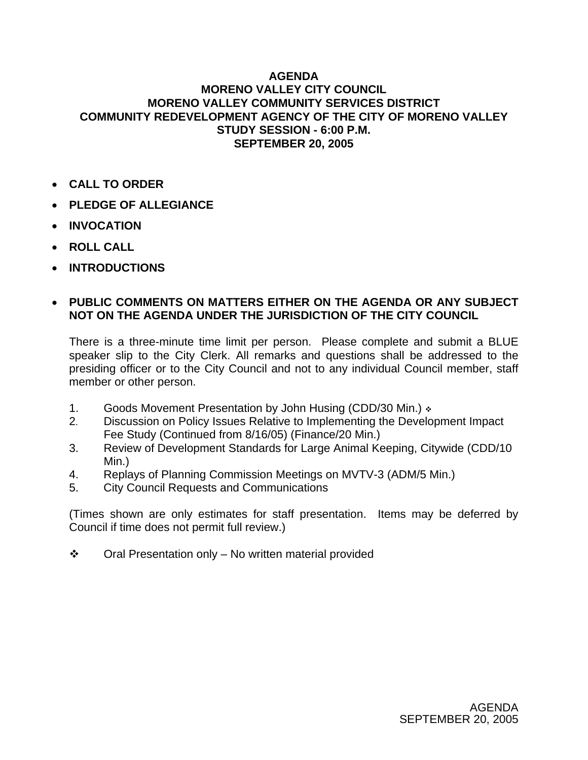## **AGENDA MORENO VALLEY CITY COUNCIL MORENO VALLEY COMMUNITY SERVICES DISTRICT COMMUNITY REDEVELOPMENT AGENCY OF THE CITY OF MORENO VALLEY STUDY SESSION - 6:00 P.M. SEPTEMBER 20, 2005**

- **CALL TO ORDER**
- **PLEDGE OF ALLEGIANCE**
- **INVOCATION**
- **ROLL CALL**
- **INTRODUCTIONS**

## • **PUBLIC COMMENTS ON MATTERS EITHER ON THE AGENDA OR ANY SUBJECT NOT ON THE AGENDA UNDER THE JURISDICTION OF THE CITY COUNCIL**

There is a three-minute time limit per person. Please complete and submit a BLUE speaker slip to the City Clerk. All remarks and questions shall be addressed to the presiding officer or to the City Council and not to any individual Council member, staff member or other person.

- 1. Goods Movement Presentation by John Husing (CDD/30 Min.)
- 2. Discussion on Policy Issues Relative to Implementing the Development Impact Fee Study (Continued from 8/16/05) (Finance/20 Min.)
- 3. Review of Development Standards for Large Animal Keeping, Citywide (CDD/10 Min.)
- 4. Replays of Planning Commission Meetings on MVTV-3 (ADM/5 Min.)
- 5. City Council Requests and Communications

(Times shown are only estimates for staff presentation. Items may be deferred by Council if time does not permit full review.)

 $\div$  Oral Presentation only – No written material provided